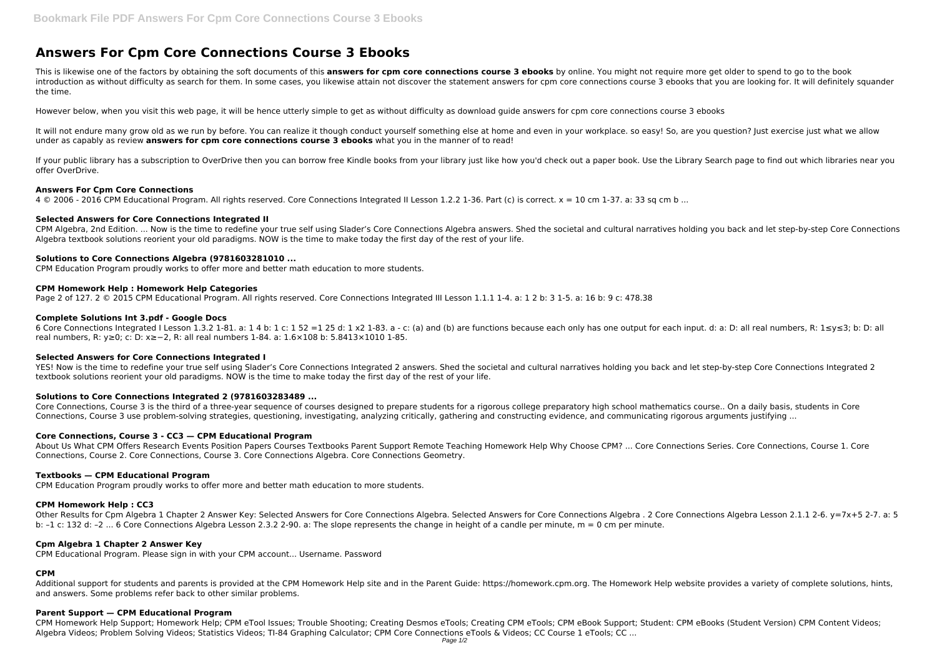# **Answers For Cpm Core Connections Course 3 Ebooks**

This is likewise one of the factors by obtaining the soft documents of this **answers for cpm core connections course 3 ebooks** by online. You might not require more get older to spend to go to the book introduction as without difficulty as search for them. In some cases, you likewise attain not discover the statement answers for cpm core connections course 3 ebooks that you are looking for. It will definitely squander the time.

It will not endure many grow old as we run by before. You can realize it though conduct yourself something else at home and even in your workplace. so easy! So, are you question? Just exercise just what we allow under as capably as review **answers for cpm core connections course 3 ebooks** what you in the manner of to read!

However below, when you visit this web page, it will be hence utterly simple to get as without difficulty as download guide answers for cpm core connections course 3 ebooks

If your public library has a subscription to OverDrive then you can borrow free Kindle books from your library just like how you'd check out a paper book. Use the Library Search page to find out which libraries near you offer OverDrive.

6 Core Connections Integrated I Lesson 1.3.2 1-81. a: 1 4 b: 1 c: 1 52 =1 25 d: 1 x2 1-83. a - c: (a) and (b) are functions because each only has one output for each input. d: a: D: all real numbers, R: 1≤y≤3; b: D: all real numbers, R: y≥0; c: D: x≥−2, R: all real numbers 1-84. a: 1.6×108 b: 5.8413×1010 1-85.

# **Answers For Cpm Core Connections**

4 © 2006 - 2016 CPM Educational Program. All rights reserved. Core Connections Integrated II Lesson 1.2.2 1-36. Part (c) is correct. x = 10 cm 1-37. a: 33 sq cm b ...

YES! Now is the time to redefine your true self using Slader's Core Connections Integrated 2 answers. Shed the societal and cultural narratives holding you back and let step-by-step Core Connections Integrated 2 textbook solutions reorient your old paradigms. NOW is the time to make today the first day of the rest of your life.

# **Selected Answers for Core Connections Integrated II**

CPM Algebra, 2nd Edition. ... Now is the time to redefine your true self using Slader's Core Connections Algebra answers. Shed the societal and cultural narratives holding you back and let step-by-step Core Connections Algebra textbook solutions reorient your old paradigms. NOW is the time to make today the first day of the rest of your life.

# **Solutions to Core Connections Algebra (9781603281010 ...**

CPM Education Program proudly works to offer more and better math education to more students.

# **CPM Homework Help : Homework Help Categories**

Page 2 of 127. 2 © 2015 CPM Educational Program. All rights reserved. Core Connections Integrated III Lesson 1.1.1 1-4. a: 1 2 b: 3 1-5. a: 16 b: 9 c: 478.38

# **Complete Solutions Int 3.pdf - Google Docs**

# **Selected Answers for Core Connections Integrated I**

# **Solutions to Core Connections Integrated 2 (9781603283489 ...**

Core Connections, Course 3 is the third of a three-year sequence of courses designed to prepare students for a rigorous college preparatory high school mathematics course.. On a daily basis, students in Core Connections, Course 3 use problem-solving strategies, questioning, investigating, analyzing critically, gathering and constructing evidence, and communicating rigorous arguments justifying ...

# **Core Connections, Course 3 - CC3 — CPM Educational Program**

About Us What CPM Offers Research Events Position Papers Courses Textbooks Parent Support Remote Teaching Homework Help Why Choose CPM? ... Core Connections Series. Core Connections, Course 1. Core Connections, Course 2. Core Connections, Course 3. Core Connections Algebra. Core Connections Geometry.

# **Textbooks — CPM Educational Program**

CPM Education Program proudly works to offer more and better math education to more students.

# **CPM Homework Help : CC3**

Other Results for Cpm Algebra 1 Chapter 2 Answer Key: Selected Answers for Core Connections Algebra. Selected Answers for Core Connections Algebra . 2 Core Connections Algebra Lesson 2.1.1 2-6. y=7x+5 2-7. a: 5 b: –1 c: 132 d: –2 ... 6 Core Connections Algebra Lesson 2.3.2 2-90. a: The slope represents the change in height of a candle per minute, m = 0 cm per minute.

# **Cpm Algebra 1 Chapter 2 Answer Key**

CPM Educational Program. Please sign in with your CPM account... Username. Password

# **CPM**

Additional support for students and parents is provided at the CPM Homework Help site and in the Parent Guide: https://homework.cpm.org. The Homework Help website provides a variety of complete solutions, hints, and answers. Some problems refer back to other similar problems.

# **Parent Support — CPM Educational Program**

CPM Homework Help Support; Homework Help; CPM eTool Issues; Trouble Shooting; Creating Desmos eTools; Creating CPM eTools; CPM eBook Support; Student: CPM eBooks (Student Version) CPM Content Videos; Algebra Videos; Problem Solving Videos; Statistics Videos; TI-84 Graphing Calculator; CPM Core Connections eTools & Videos; CC Course 1 eTools; CC ...